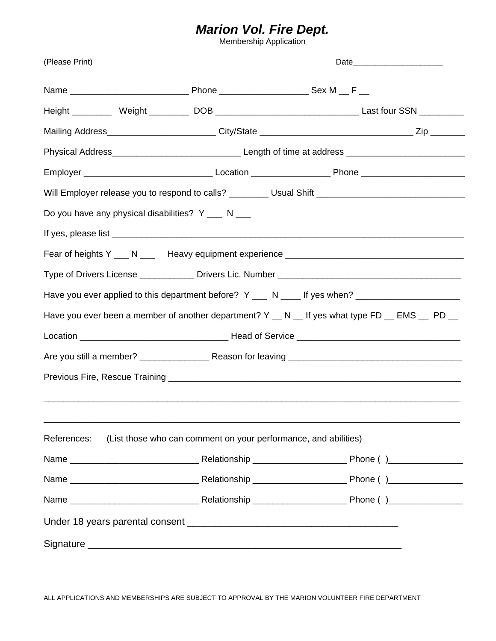## *Marion Vol. Fire Dept.*

Membership Application

| (Please Print)                                     |                                                                                                      |  |  |  |  |
|----------------------------------------------------|------------------------------------------------------------------------------------------------------|--|--|--|--|
|                                                    |                                                                                                      |  |  |  |  |
|                                                    |                                                                                                      |  |  |  |  |
|                                                    |                                                                                                      |  |  |  |  |
|                                                    |                                                                                                      |  |  |  |  |
|                                                    |                                                                                                      |  |  |  |  |
|                                                    | Will Employer release you to respond to calls? _________ Usual Shift _______________________________ |  |  |  |  |
| Do you have any physical disabilities? Y ___ N ___ |                                                                                                      |  |  |  |  |
|                                                    |                                                                                                      |  |  |  |  |
|                                                    |                                                                                                      |  |  |  |  |
|                                                    |                                                                                                      |  |  |  |  |
|                                                    | Have you ever applied to this department before? Y ___ N ____ If yes when? ________________________  |  |  |  |  |
|                                                    | Have you ever been a member of another department? Y _ N _ If yes what type FD _ EMS _ PD _          |  |  |  |  |
|                                                    |                                                                                                      |  |  |  |  |
|                                                    |                                                                                                      |  |  |  |  |
|                                                    |                                                                                                      |  |  |  |  |
|                                                    |                                                                                                      |  |  |  |  |
|                                                    |                                                                                                      |  |  |  |  |
| References:                                        | (List those who can comment on your performance, and abilities)                                      |  |  |  |  |
|                                                    |                                                                                                      |  |  |  |  |
|                                                    |                                                                                                      |  |  |  |  |
|                                                    |                                                                                                      |  |  |  |  |
|                                                    |                                                                                                      |  |  |  |  |
|                                                    |                                                                                                      |  |  |  |  |

ALL APPLICATIONS AND MEMBERSHIPS ARE SUBJECT TO APPROVAL BY THE MARION VOLUNTEER FIRE DEPARTMENT